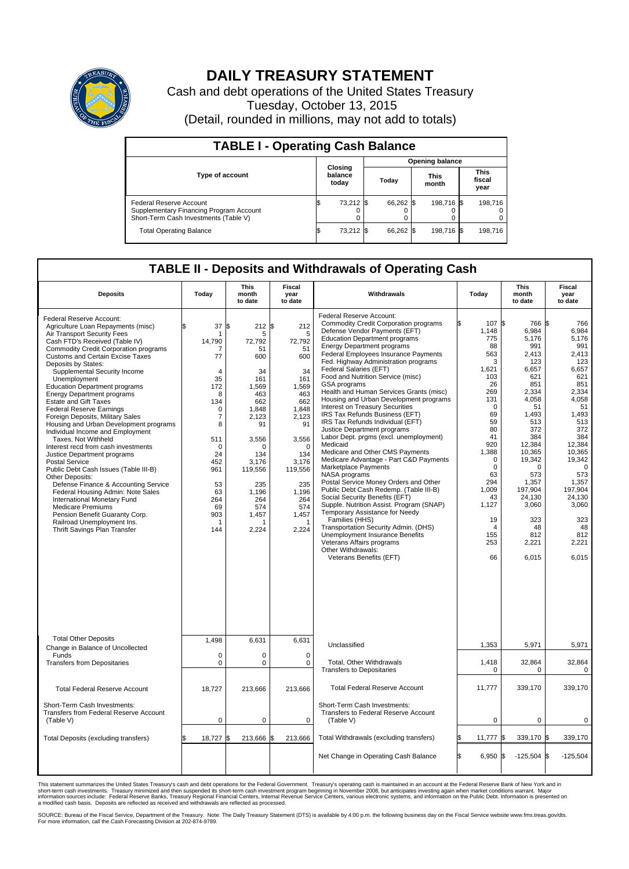

## **DAILY TREASURY STATEMENT**

Cash and debt operations of the United States Treasury Tuesday, October 13, 2015 (Detail, rounded in millions, may not add to totals)

| <b>TABLE I - Operating Cash Balance</b>                                                                     |  |                             |  |                        |  |                      |  |                               |  |
|-------------------------------------------------------------------------------------------------------------|--|-----------------------------|--|------------------------|--|----------------------|--|-------------------------------|--|
|                                                                                                             |  |                             |  | <b>Opening balance</b> |  |                      |  |                               |  |
| <b>Type of account</b>                                                                                      |  | Closing<br>balance<br>today |  | Today                  |  | <b>This</b><br>month |  | <b>This</b><br>fiscal<br>year |  |
| Federal Reserve Account<br>Supplementary Financing Program Account<br>Short-Term Cash Investments (Table V) |  | 73,212                      |  | 66,262 \$              |  | 198.716 \$           |  | 198.716                       |  |
| <b>Total Operating Balance</b>                                                                              |  | 73,212                      |  | 66.262 \$              |  | 198,716 \$           |  | 198,716                       |  |

## **TABLE II - Deposits and Withdrawals of Operating Cash**

| <b>Deposits</b>                                                                                                                                                                                                                                                                                                                                                                                                                                                                                                                                                                                                                                                                                                                                                                                                                                                                                                                                                                 | Today                                                                                                                                                                                            | <b>This</b><br>month<br>to date                                                                                                                                                                     | <b>Fiscal</b><br>year<br>to date                                                                                                                                                            | Withdrawals                                                                                                                                                                                                                                                                                                                                                                                                                                                                                                                                                                                                                                                                                                                                                                                                                                                                                                                                                                                                                                                                                                                                  | Today                                                                                                                                                                                                                              | <b>This</b><br>month<br>to date                                                                                                                                                                                                                         | <b>Fiscal</b><br>year<br>to date                                                                                                                                                                                                                                  |  |  |  |
|---------------------------------------------------------------------------------------------------------------------------------------------------------------------------------------------------------------------------------------------------------------------------------------------------------------------------------------------------------------------------------------------------------------------------------------------------------------------------------------------------------------------------------------------------------------------------------------------------------------------------------------------------------------------------------------------------------------------------------------------------------------------------------------------------------------------------------------------------------------------------------------------------------------------------------------------------------------------------------|--------------------------------------------------------------------------------------------------------------------------------------------------------------------------------------------------|-----------------------------------------------------------------------------------------------------------------------------------------------------------------------------------------------------|---------------------------------------------------------------------------------------------------------------------------------------------------------------------------------------------|----------------------------------------------------------------------------------------------------------------------------------------------------------------------------------------------------------------------------------------------------------------------------------------------------------------------------------------------------------------------------------------------------------------------------------------------------------------------------------------------------------------------------------------------------------------------------------------------------------------------------------------------------------------------------------------------------------------------------------------------------------------------------------------------------------------------------------------------------------------------------------------------------------------------------------------------------------------------------------------------------------------------------------------------------------------------------------------------------------------------------------------------|------------------------------------------------------------------------------------------------------------------------------------------------------------------------------------------------------------------------------------|---------------------------------------------------------------------------------------------------------------------------------------------------------------------------------------------------------------------------------------------------------|-------------------------------------------------------------------------------------------------------------------------------------------------------------------------------------------------------------------------------------------------------------------|--|--|--|
| Federal Reserve Account:<br>Agriculture Loan Repayments (misc)<br>Air Transport Security Fees<br>Cash FTD's Received (Table IV)<br><b>Commodity Credit Corporation programs</b><br>Customs and Certain Excise Taxes<br>Deposits by States:<br>Supplemental Security Income<br>Unemployment<br><b>Education Department programs</b><br><b>Energy Department programs</b><br><b>Estate and Gift Taxes</b><br><b>Federal Reserve Earnings</b><br>Foreign Deposits, Military Sales<br>Housing and Urban Development programs<br>Individual Income and Employment<br>Taxes. Not Withheld<br>Interest recd from cash investments<br>Justice Department programs<br>Postal Service<br>Public Debt Cash Issues (Table III-B)<br>Other Deposits:<br>Defense Finance & Accounting Service<br>Federal Housing Admin: Note Sales<br>International Monetary Fund<br><b>Medicare Premiums</b><br>Pension Benefit Guaranty Corp.<br>Railroad Unemployment Ins.<br>Thrift Savings Plan Transfer | \$<br>37<br>14,790<br>77<br>$\overline{4}$<br>35<br>172<br>8<br>134<br>$\mathbf 0$<br>$\overline{7}$<br>8<br>511<br>$\mathbf 0$<br>24<br>452<br>961<br>53<br>63<br>264<br>69<br>903<br>-1<br>144 | l\$<br>212S<br>5<br>72,792<br>51<br>600<br>34<br>161<br>1,569<br>463<br>662<br>1,848<br>2.123<br>91<br>3,556<br>$\Omega$<br>134<br>3,176<br>119,556<br>235<br>1,196<br>264<br>574<br>1,457<br>2,224 | 212<br>5<br>72,792<br>51<br>600<br>34<br>161<br>1,569<br>463<br>662<br>1,848<br>2,123<br>91<br>3,556<br>$\Omega$<br>134<br>3,176<br>119,556<br>235<br>1,196<br>264<br>574<br>1,457<br>2,224 | Federal Reserve Account:<br><b>Commodity Credit Corporation programs</b><br>Defense Vendor Payments (EFT)<br><b>Education Department programs</b><br><b>Energy Department programs</b><br>Federal Employees Insurance Payments<br>Fed. Highway Administration programs<br>Federal Salaries (EFT)<br>Food and Nutrition Service (misc)<br>GSA programs<br>Health and Human Services Grants (misc)<br>Housing and Urban Development programs<br>Interest on Treasury Securities<br>IRS Tax Refunds Business (EFT)<br>IRS Tax Refunds Individual (EFT)<br>Justice Department programs<br>Labor Dept. prgms (excl. unemployment)<br>Medicaid<br>Medicare and Other CMS Payments<br>Medicare Advantage - Part C&D Payments<br>Marketplace Payments<br>NASA programs<br>Postal Service Money Orders and Other<br>Public Debt Cash Redemp. (Table III-B)<br>Social Security Benefits (EFT)<br>Supple. Nutrition Assist. Program (SNAP)<br>Temporary Assistance for Needy<br>Families (HHS)<br>Transportation Security Admin. (DHS)<br>Unemployment Insurance Benefits<br>Veterans Affairs programs<br>Other Withdrawals:<br>Veterans Benefits (EFT) | 107 \$<br>1,148<br>775<br>88<br>563<br>3<br>1,621<br>103<br>26<br>269<br>131<br>$\Omega$<br>69<br>59<br>80<br>41<br>920<br>1,388<br>$\mathbf 0$<br>$\mathbf 0$<br>63<br>294<br>1,009<br>43<br>1,127<br>19<br>4<br>155<br>253<br>66 | 766<br>6,984<br>5,176<br>991<br>2,413<br>123<br>6,657<br>621<br>851<br>2,334<br>4,058<br>51<br>1,493<br>513<br>372<br>384<br>12,384<br>10,365<br>19,342<br>$\Omega$<br>573<br>1,357<br>197,904<br>24,130<br>3,060<br>323<br>48<br>812<br>2,221<br>6,015 | 1\$<br>766<br>6,984<br>5,176<br>991<br>2,413<br>123<br>6,657<br>621<br>851<br>2,334<br>4,058<br>51<br>1,493<br>513<br>372<br>384<br>12,384<br>10,365<br>19,342<br>$\mathbf 0$<br>573<br>1,357<br>197.904<br>24,130<br>3,060<br>323<br>48<br>812<br>2,221<br>6.015 |  |  |  |
| <b>Total Other Deposits</b>                                                                                                                                                                                                                                                                                                                                                                                                                                                                                                                                                                                                                                                                                                                                                                                                                                                                                                                                                     | 1.498                                                                                                                                                                                            | 6,631                                                                                                                                                                                               | 6,631                                                                                                                                                                                       | Unclassified                                                                                                                                                                                                                                                                                                                                                                                                                                                                                                                                                                                                                                                                                                                                                                                                                                                                                                                                                                                                                                                                                                                                 | 1,353                                                                                                                                                                                                                              | 5,971                                                                                                                                                                                                                                                   | 5,971                                                                                                                                                                                                                                                             |  |  |  |
| Change in Balance of Uncollected<br>Funds                                                                                                                                                                                                                                                                                                                                                                                                                                                                                                                                                                                                                                                                                                                                                                                                                                                                                                                                       | 0                                                                                                                                                                                                | 0                                                                                                                                                                                                   | $\mathbf 0$                                                                                                                                                                                 |                                                                                                                                                                                                                                                                                                                                                                                                                                                                                                                                                                                                                                                                                                                                                                                                                                                                                                                                                                                                                                                                                                                                              |                                                                                                                                                                                                                                    |                                                                                                                                                                                                                                                         |                                                                                                                                                                                                                                                                   |  |  |  |
| <b>Transfers from Depositaries</b>                                                                                                                                                                                                                                                                                                                                                                                                                                                                                                                                                                                                                                                                                                                                                                                                                                                                                                                                              | $\mathbf 0$                                                                                                                                                                                      | $\mathbf 0$                                                                                                                                                                                         | $\mathbf 0$                                                                                                                                                                                 | Total, Other Withdrawals<br><b>Transfers to Depositaries</b>                                                                                                                                                                                                                                                                                                                                                                                                                                                                                                                                                                                                                                                                                                                                                                                                                                                                                                                                                                                                                                                                                 | 1,418<br>0                                                                                                                                                                                                                         | 32,864<br>0                                                                                                                                                                                                                                             | 32,864<br>0                                                                                                                                                                                                                                                       |  |  |  |
| <b>Total Federal Reserve Account</b>                                                                                                                                                                                                                                                                                                                                                                                                                                                                                                                                                                                                                                                                                                                                                                                                                                                                                                                                            | 18,727                                                                                                                                                                                           | 213,666                                                                                                                                                                                             | 213,666                                                                                                                                                                                     | <b>Total Federal Reserve Account</b>                                                                                                                                                                                                                                                                                                                                                                                                                                                                                                                                                                                                                                                                                                                                                                                                                                                                                                                                                                                                                                                                                                         | 11,777                                                                                                                                                                                                                             | 339,170                                                                                                                                                                                                                                                 | 339,170                                                                                                                                                                                                                                                           |  |  |  |
| Short-Term Cash Investments:<br>Transfers from Federal Reserve Account<br>(Table V)                                                                                                                                                                                                                                                                                                                                                                                                                                                                                                                                                                                                                                                                                                                                                                                                                                                                                             | $\mathbf 0$                                                                                                                                                                                      | $\mathbf 0$                                                                                                                                                                                         | $\mathbf 0$                                                                                                                                                                                 | Short-Term Cash Investments:<br>Transfers to Federal Reserve Account<br>(Table V)                                                                                                                                                                                                                                                                                                                                                                                                                                                                                                                                                                                                                                                                                                                                                                                                                                                                                                                                                                                                                                                            | $\mathbf 0$                                                                                                                                                                                                                        | 0                                                                                                                                                                                                                                                       | $\mathbf 0$                                                                                                                                                                                                                                                       |  |  |  |
| Total Deposits (excluding transfers)                                                                                                                                                                                                                                                                                                                                                                                                                                                                                                                                                                                                                                                                                                                                                                                                                                                                                                                                            | 18,727                                                                                                                                                                                           | 213,666 \$<br>\$                                                                                                                                                                                    | 213,666                                                                                                                                                                                     | Total Withdrawals (excluding transfers)                                                                                                                                                                                                                                                                                                                                                                                                                                                                                                                                                                                                                                                                                                                                                                                                                                                                                                                                                                                                                                                                                                      | 11,777                                                                                                                                                                                                                             | 339,170 \$<br>ß.                                                                                                                                                                                                                                        | 339,170                                                                                                                                                                                                                                                           |  |  |  |
|                                                                                                                                                                                                                                                                                                                                                                                                                                                                                                                                                                                                                                                                                                                                                                                                                                                                                                                                                                                 |                                                                                                                                                                                                  |                                                                                                                                                                                                     |                                                                                                                                                                                             | Net Change in Operating Cash Balance                                                                                                                                                                                                                                                                                                                                                                                                                                                                                                                                                                                                                                                                                                                                                                                                                                                                                                                                                                                                                                                                                                         | l\$<br>6,950                                                                                                                                                                                                                       | $-125,504$ \$<br>1\$                                                                                                                                                                                                                                    | $-125,504$                                                                                                                                                                                                                                                        |  |  |  |

This statement summarizes the United States Treasury's cash and debt operations for the Federal Government. Treasury's operating cash is maintained in an account at the Federal Reserve Bank of New York and in<br>informetion s

SOURCE: Bureau of the Fiscal Service, Department of the Treasury. Note: The Daily Treasury Statement (DTS) is available by 4:00 p.m. the following business day on the Fiscal Service website www.fms.treas.gov/dts.<br>For more